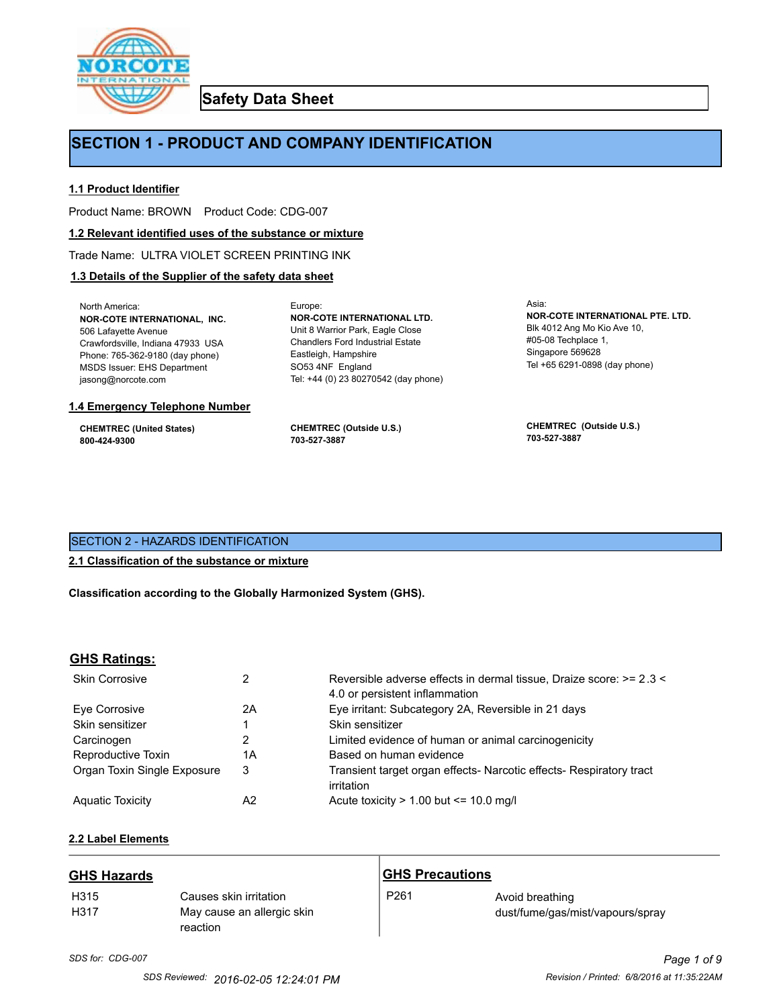

**Safety Data Sheet**

## **SECTION 1 - PRODUCT AND COMPANY IDENTIFICATION**

Europe:

#### **1.1 Product Identifier**

Product Name: BROWN Product Code: CDG-007

#### **1.2 Relevant identified uses of the substance or mixture**

Trade Name: ULTRA VIOLET SCREEN PRINTING INK

#### **1.3 Details of the Supplier of the safety data sheet**

North America: **NOR-COTE INTERNATIONAL, INC.** 506 Lafayette Avenue Crawfordsville, Indiana 47933 USA Phone: 765-362-9180 (day phone) MSDS Issuer: EHS Department jasong@norcote.com

#### **1.4 Emergency Telephone Number**

**CHEMTREC (United States) 800-424-9300**

**CHEMTREC (Outside U.S.) 703-527-3887**

Eastleigh, Hampshire SO53 4NF England

**NOR-COTE INTERNATIONAL LTD.** Unit 8 Warrior Park, Eagle Close Chandlers Ford Industrial Estate

Tel: +44 (0) 23 80270542 (day phone)

Asia: **NOR-COTE INTERNATIONAL PTE. LTD.** Blk 4012 Ang Mo Kio Ave 10, #05-08 Techplace 1, Singapore 569628 Tel +65 6291-0898 (day phone)

**CHEMTREC (Outside U.S.) 703-527-3887**

#### SECTION 2 - HAZARDS IDENTIFICATION

#### **2.1 Classification of the substance or mixture**

**Classification according to the Globally Harmonized System (GHS).**

#### **GHS Ratings:**

| <b>Skin Corrosive</b>       | 2  | Reversible adverse effects in dermal tissue, Draize score: >= 2.3 <<br>4.0 or persistent inflammation |
|-----------------------------|----|-------------------------------------------------------------------------------------------------------|
| Eve Corrosive               | 2A | Eye irritant: Subcategory 2A, Reversible in 21 days                                                   |
| Skin sensitizer             |    | Skin sensitizer                                                                                       |
| Carcinogen                  |    | Limited evidence of human or animal carcinogenicity                                                   |
| Reproductive Toxin          | 1A | Based on human evidence                                                                               |
| Organ Toxin Single Exposure | 3  | Transient target organ effects- Narcotic effects- Respiratory tract<br>irritation                     |
| <b>Aguatic Toxicity</b>     | A2 | Acute toxicity $> 1.00$ but $\leq 10.0$ mg/l                                                          |

## **2.2 Label Elements**

| <b>GHS Hazards</b>       |                                                                  | <b>GHS Precautions</b> |                                                     |
|--------------------------|------------------------------------------------------------------|------------------------|-----------------------------------------------------|
| H <sub>315</sub><br>H317 | Causes skin irritation<br>May cause an allergic skin<br>reaction | P <sub>261</sub>       | Avoid breathing<br>dust/fume/gas/mist/vapours/spray |

# *SDS for: CDG-007 Page 1 of 9*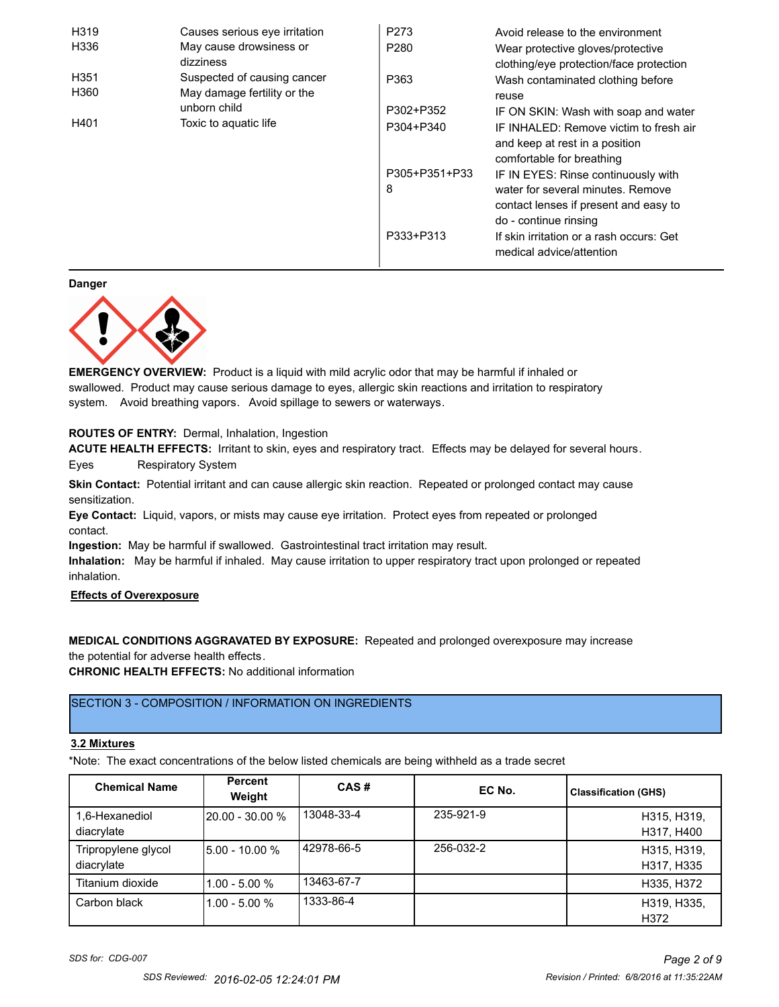| H319<br>H336                  | Causes serious eye irritation<br>May cause drowsiness or<br>dizziness | P273<br>P <sub>280</sub> | Avoid release to the environment<br>Wear protective gloves/protective<br>clothing/eye protection/face protection                           |
|-------------------------------|-----------------------------------------------------------------------|--------------------------|--------------------------------------------------------------------------------------------------------------------------------------------|
| H351<br>H360                  | Suspected of causing cancer<br>May damage fertility or the            | P363                     | Wash contaminated clothing before<br>reuse                                                                                                 |
|                               | unborn child                                                          | P302+P352                | IF ON SKIN: Wash with soap and water                                                                                                       |
| H401<br>Toxic to aquatic life |                                                                       | P304+P340                | IF INHALED: Remove victim to fresh air<br>and keep at rest in a position<br>comfortable for breathing                                      |
|                               |                                                                       | P305+P351+P33<br>8       | IF IN EYES: Rinse continuously with<br>water for several minutes. Remove<br>contact lenses if present and easy to<br>do - continue rinsing |
|                               |                                                                       | P333+P313                | If skin irritation or a rash occurs: Get<br>medical advice/attention                                                                       |

**Danger**



**EMERGENCY OVERVIEW:** Product is a liquid with mild acrylic odor that may be harmful if inhaled or swallowed. Product may cause serious damage to eyes, allergic skin reactions and irritation to respiratory system. Avoid breathing vapors. Avoid spillage to sewers or waterways.

**ROUTES OF ENTRY:** Dermal, Inhalation, Ingestion

**ACUTE HEALTH EFFECTS:** Irritant to skin, eyes and respiratory tract. Effects may be delayed for several hours.

Eyes Respiratory System

**Skin Contact:** Potential irritant and can cause allergic skin reaction. Repeated or prolonged contact may cause sensitization.

**Eye Contact:** Liquid, vapors, or mists may cause eye irritation. Protect eyes from repeated or prolonged contact.

**Ingestion:** May be harmful if swallowed. Gastrointestinal tract irritation may result.

**Inhalation:** May be harmful if inhaled. May cause irritation to upper respiratory tract upon prolonged or repeated inhalation.

### **Effects of Overexposure**

**MEDICAL CONDITIONS AGGRAVATED BY EXPOSURE:** Repeated and prolonged overexposure may increase the potential for adverse health effects.

**CHRONIC HEALTH EFFECTS:** No additional information

## SECTION 3 - COMPOSITION / INFORMATION ON INGREDIENTS

#### **3.2 Mixtures**

\*Note: The exact concentrations of the below listed chemicals are being withheld as a trade secret

| <b>Chemical Name</b>              | <b>Percent</b><br>Weight | CAS#       | EC No.    | <b>Classification (GHS)</b> |
|-----------------------------------|--------------------------|------------|-----------|-----------------------------|
| 1,6-Hexanediol<br>diacrylate      | $120.00 - 30.00 %$       | 13048-33-4 | 235-921-9 | H315, H319,<br>H317, H400   |
| Tripropylene glycol<br>diacrylate | 15.00 - 10.00 %          | 42978-66-5 | 256-032-2 | H315, H319,<br>H317, H335   |
| Titanium dioxide                  | $1.00 - 5.00 %$          | 13463-67-7 |           | H335, H372                  |
| Carbon black                      | l1.00 - 5.00 %           | 1333-86-4  |           | H319, H335,<br>H372         |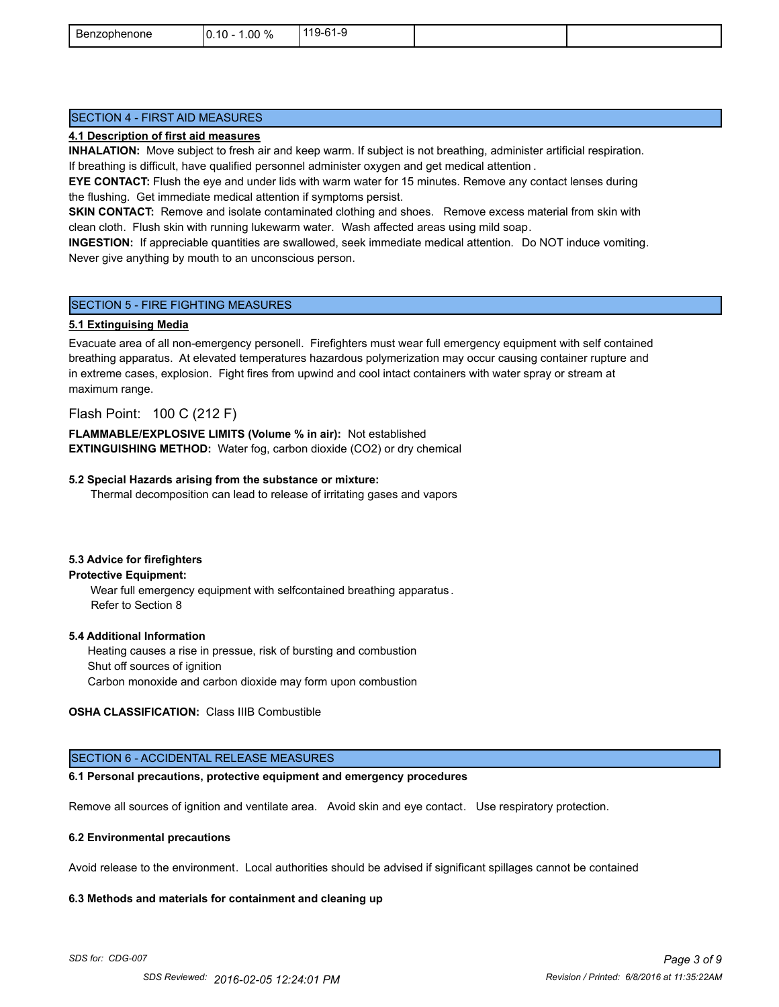| ∽<br>Benzophenone | $.00\%$<br>$.10 -$<br>١r<br>- 70<br>ີ | C <sub>1</sub><br>$119-$<br>.<br>ີ |  |
|-------------------|---------------------------------------|------------------------------------|--|
|                   |                                       |                                    |  |

#### SECTION 4 - FIRST AID MEASURES

#### **4.1 Description of first aid measures**

**INHALATION:** Move subject to fresh air and keep warm. If subject is not breathing, administer artificial respiration. If breathing is difficult, have qualified personnel administer oxygen and get medical attention .

**EYE CONTACT:** Flush the eye and under lids with warm water for 15 minutes. Remove any contact lenses during the flushing. Get immediate medical attention if symptoms persist.

**SKIN CONTACT:** Remove and isolate contaminated clothing and shoes. Remove excess material from skin with clean cloth. Flush skin with running lukewarm water. Wash affected areas using mild soap.

**INGESTION:** If appreciable quantities are swallowed, seek immediate medical attention. Do NOT induce vomiting. Never give anything by mouth to an unconscious person.

#### SECTION 5 - FIRE FIGHTING MEASURES

#### **5.1 Extinguising Media**

Evacuate area of all non-emergency personell. Firefighters must wear full emergency equipment with self contained breathing apparatus. At elevated temperatures hazardous polymerization may occur causing container rupture and in extreme cases, explosion. Fight fires from upwind and cool intact containers with water spray or stream at maximum range.

#### Flash Point: 100 C (212 F)

**FLAMMABLE/EXPLOSIVE LIMITS (Volume % in air):** Not established **EXTINGUISHING METHOD:** Water fog, carbon dioxide (CO2) or dry chemical

#### **5.2 Special Hazards arising from the substance or mixture:**

Thermal decomposition can lead to release of irritating gases and vapors

#### **5.3 Advice for firefighters**

#### **Protective Equipment:**

Wear full emergency equipment with selfcontained breathing apparatus . Refer to Section 8

#### **5.4 Additional Information**

 Heating causes a rise in pressue, risk of bursting and combustion Shut off sources of ignition Carbon monoxide and carbon dioxide may form upon combustion

#### **OSHA CLASSIFICATION:** Class IIIB Combustible

#### SECTION 6 - ACCIDENTAL RELEASE MEASURES

#### **6.1 Personal precautions, protective equipment and emergency procedures**

Remove all sources of ignition and ventilate area. Avoid skin and eye contact. Use respiratory protection.

#### **6.2 Environmental precautions**

Avoid release to the environment. Local authorities should be advised if significant spillages cannot be contained

#### **6.3 Methods and materials for containment and cleaning up**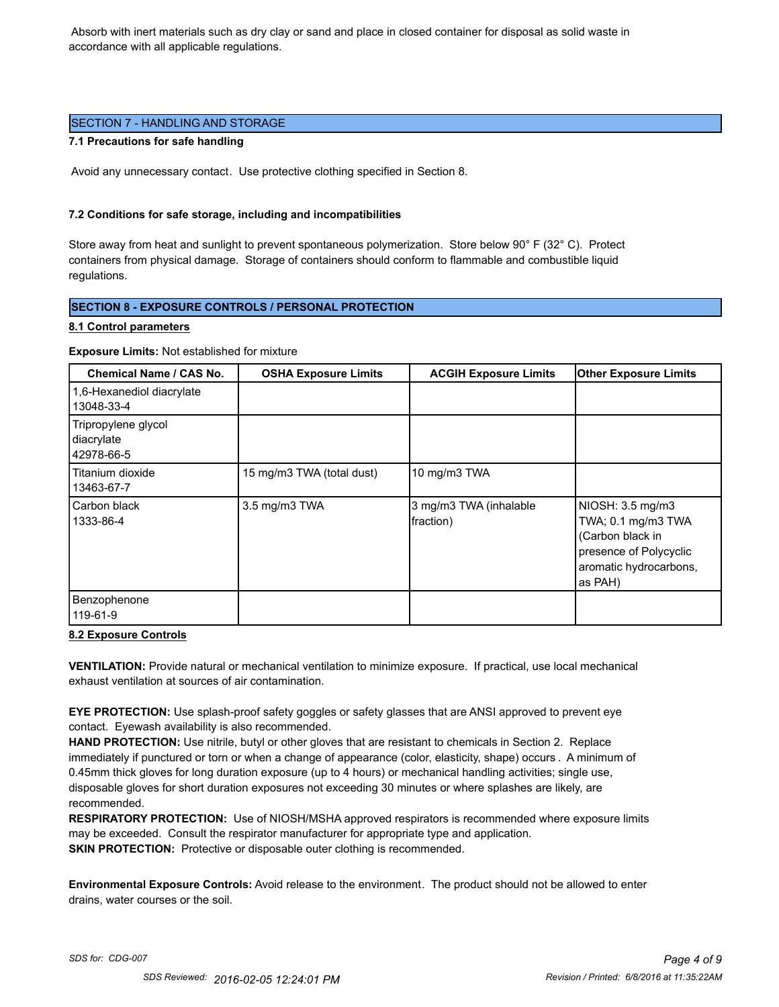Absorb with inert materials such as dry clay or sand and place in closed container for disposal as solid waste in accordance with all applicable regulations.

#### SECTION 7 - HANDLING AND STORAGE

#### **7.1 Precautions for safe handling**

Avoid any unnecessary contact. Use protective clothing specified in Section 8.

#### **7.2 Conditions for safe storage, including and incompatibilities**

Store away from heat and sunlight to prevent spontaneous polymerization. Store below 90° F (32° C). Protect containers from physical damage. Storage of containers should conform to flammable and combustible liquid regulations.

#### **SECTION 8 - EXPOSURE CONTROLS / PERSONAL PROTECTION**

#### **8.1 Control parameters**

**Exposure Limits:** Not established for mixture

| <b>Chemical Name / CAS No.</b>                  | <b>OSHA Exposure Limits</b> | <b>ACGIH Exposure Limits</b>        | <b>Other Exposure Limits</b>                                                                                              |
|-------------------------------------------------|-----------------------------|-------------------------------------|---------------------------------------------------------------------------------------------------------------------------|
| 1,6-Hexanediol diacrylate<br>13048-33-4         |                             |                                     |                                                                                                                           |
| Tripropylene glycol<br>diacrylate<br>42978-66-5 |                             |                                     |                                                                                                                           |
| Titanium dioxide<br>13463-67-7                  | 15 mg/m3 TWA (total dust)   | 10 mg/m3 TWA                        |                                                                                                                           |
| Carbon black<br>1333-86-4                       | 3.5 mg/m3 TWA               | 3 mg/m3 TWA (inhalable<br>fraction) | NIOSH: 3.5 mg/m3<br>TWA; 0.1 mg/m3 TWA<br>(Carbon black in<br>presence of Polycyclic<br>aromatic hydrocarbons,<br>as PAH) |
| Benzophenone<br>119-61-9                        |                             |                                     |                                                                                                                           |

#### **8.2 Exposure Controls**

**VENTILATION:** Provide natural or mechanical ventilation to minimize exposure. If practical, use local mechanical exhaust ventilation at sources of air contamination.

**EYE PROTECTION:** Use splash-proof safety goggles or safety glasses that are ANSI approved to prevent eye contact. Eyewash availability is also recommended.

**HAND PROTECTION:** Use nitrile, butyl or other gloves that are resistant to chemicals in Section 2. Replace immediately if punctured or torn or when a change of appearance (color, elasticity, shape) occurs . A minimum of 0.45mm thick gloves for long duration exposure (up to 4 hours) or mechanical handling activities; single use, disposable gloves for short duration exposures not exceeding 30 minutes or where splashes are likely, are recommended.

**RESPIRATORY PROTECTION:** Use of NIOSH/MSHA approved respirators is recommended where exposure limits may be exceeded. Consult the respirator manufacturer for appropriate type and application. **SKIN PROTECTION:** Protective or disposable outer clothing is recommended.

**Environmental Exposure Controls:** Avoid release to the environment. The product should not be allowed to enter drains, water courses or the soil.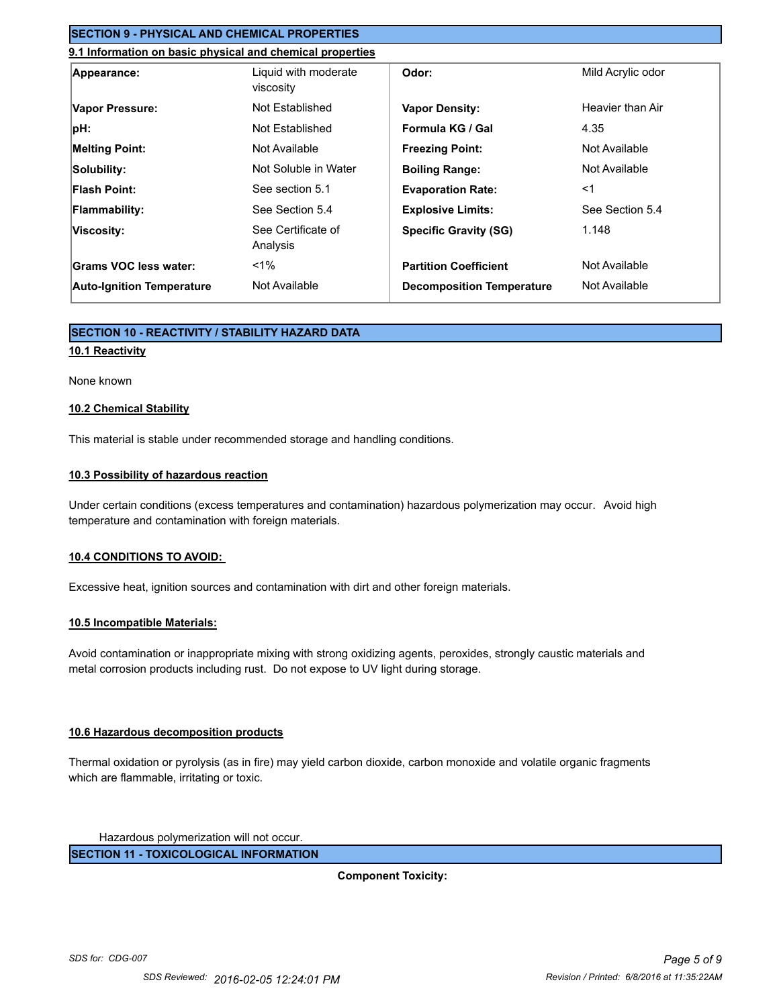#### **SECTION 9 - PHYSICAL AND CHEMICAL PROPERTIES**

#### **9.1 Information on basic physical and chemical properties**

| Appearance:                      | Liquid with moderate<br>viscosity | Odor:                            | Mild Acrylic odor |
|----------------------------------|-----------------------------------|----------------------------------|-------------------|
| Vapor Pressure:                  | Not Established                   | <b>Vapor Density:</b>            | Heavier than Air  |
| pH:                              | Not Established                   | Formula KG / Gal                 | 4.35              |
| <b>Melting Point:</b>            | Not Available                     | <b>Freezing Point:</b>           | Not Available     |
| Solubility:                      | Not Soluble in Water              | <b>Boiling Range:</b>            | Not Available     |
| <b>Flash Point:</b>              | See section 5.1                   | <b>Evaporation Rate:</b>         | $<$ 1             |
| <b>Flammability:</b>             | See Section 5.4                   | <b>Explosive Limits:</b>         | See Section 5.4   |
| Viscosity:                       | See Certificate of<br>Analysis    | <b>Specific Gravity (SG)</b>     | 1.148             |
| Grams VOC less water:            | $< 1\%$                           | <b>Partition Coefficient</b>     | Not Available     |
| <b>Auto-Ignition Temperature</b> | Not Available                     | <b>Decomposition Temperature</b> | Not Available     |

#### **SECTION 10 - REACTIVITY / STABILITY HAZARD DATA**

#### **10.1 Reactivity**

#### None known

#### **10.2 Chemical Stability**

This material is stable under recommended storage and handling conditions.

#### **10.3 Possibility of hazardous reaction**

Under certain conditions (excess temperatures and contamination) hazardous polymerization may occur. Avoid high temperature and contamination with foreign materials.

#### **10.4 CONDITIONS TO AVOID:**

Excessive heat, ignition sources and contamination with dirt and other foreign materials.

#### **10.5 Incompatible Materials:**

Avoid contamination or inappropriate mixing with strong oxidizing agents, peroxides, strongly caustic materials and metal corrosion products including rust. Do not expose to UV light during storage.

#### **10.6 Hazardous decomposition products**

Thermal oxidation or pyrolysis (as in fire) may yield carbon dioxide, carbon monoxide and volatile organic fragments which are flammable, irritating or toxic.

Hazardous polymerization will not occur.

**SECTION 11 - TOXICOLOGICAL INFORMATION**

**Component Toxicity:**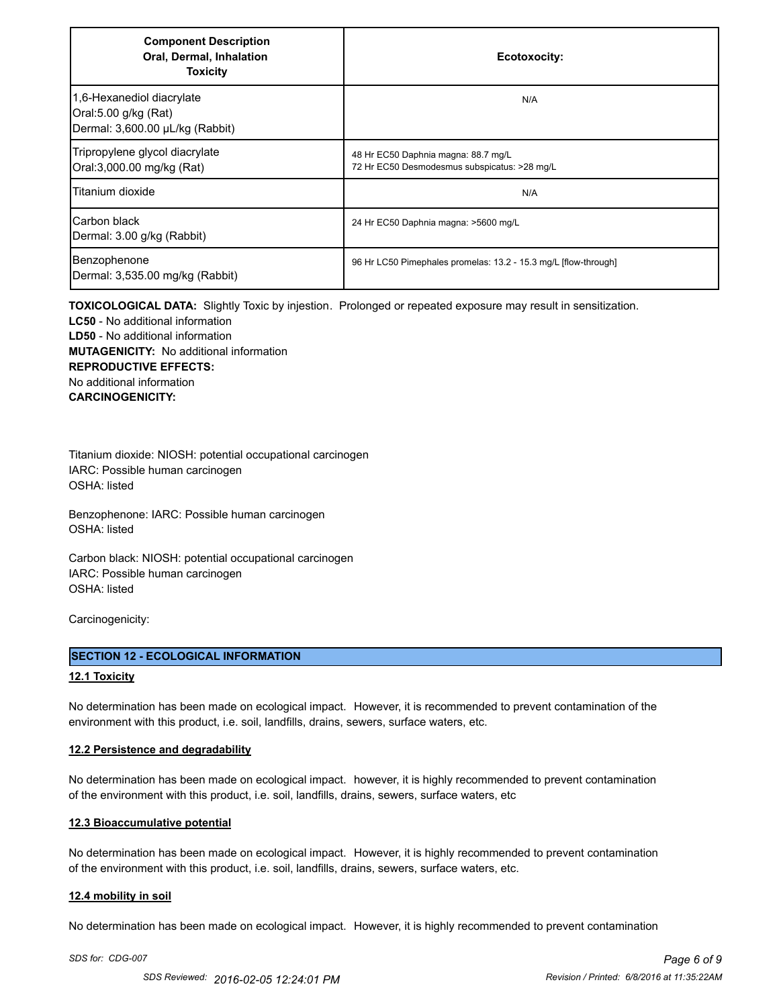| <b>Component Description</b><br>Oral, Dermal, Inhalation<br><b>Toxicity</b>          | Ecotoxocity:                                                                        |
|--------------------------------------------------------------------------------------|-------------------------------------------------------------------------------------|
| 1,6-Hexanediol diacrylate<br>Oral:5.00 g/kg (Rat)<br>Dermal: 3,600.00 µL/kg (Rabbit) | N/A                                                                                 |
| Tripropylene glycol diacrylate<br>Oral:3,000.00 mg/kg (Rat)                          | 48 Hr EC50 Daphnia magna: 88.7 mg/L<br>72 Hr EC50 Desmodesmus subspicatus: >28 mg/L |
| Titanium dioxide                                                                     | N/A                                                                                 |
| ICarbon black<br>Dermal: 3.00 g/kg (Rabbit)                                          | 24 Hr EC50 Daphnia magna: >5600 mg/L                                                |
| Benzophenone<br>Dermal: 3,535.00 mg/kg (Rabbit)                                      | 96 Hr LC50 Pimephales promelas: 13.2 - 15.3 mg/L [flow-through]                     |

**TOXICOLOGICAL DATA:** Slightly Toxic by injestion. Prolonged or repeated exposure may result in sensitization. **LC50** - No additional information **LD50** - No additional information **MUTAGENICITY:** No additional information **REPRODUCTIVE EFFECTS:** No additional information **CARCINOGENICITY:**

Titanium dioxide: NIOSH: potential occupational carcinogen IARC: Possible human carcinogen OSHA: listed

Benzophenone: IARC: Possible human carcinogen OSHA: listed

Carbon black: NIOSH: potential occupational carcinogen IARC: Possible human carcinogen OSHA: listed

Carcinogenicity:

#### **SECTION 12 - ECOLOGICAL INFORMATION**

#### **12.1 Toxicity**

No determination has been made on ecological impact. However, it is recommended to prevent contamination of the environment with this product, i.e. soil, landfills, drains, sewers, surface waters, etc.

#### **12.2 Persistence and degradability**

No determination has been made on ecological impact. however, it is highly recommended to prevent contamination of the environment with this product, i.e. soil, landfills, drains, sewers, surface waters, etc

#### **12.3 Bioaccumulative potential**

No determination has been made on ecological impact. However, it is highly recommended to prevent contamination of the environment with this product, i.e. soil, landfills, drains, sewers, surface waters, etc.

#### **12.4 mobility in soil**

No determination has been made on ecological impact. However, it is highly recommended to prevent contamination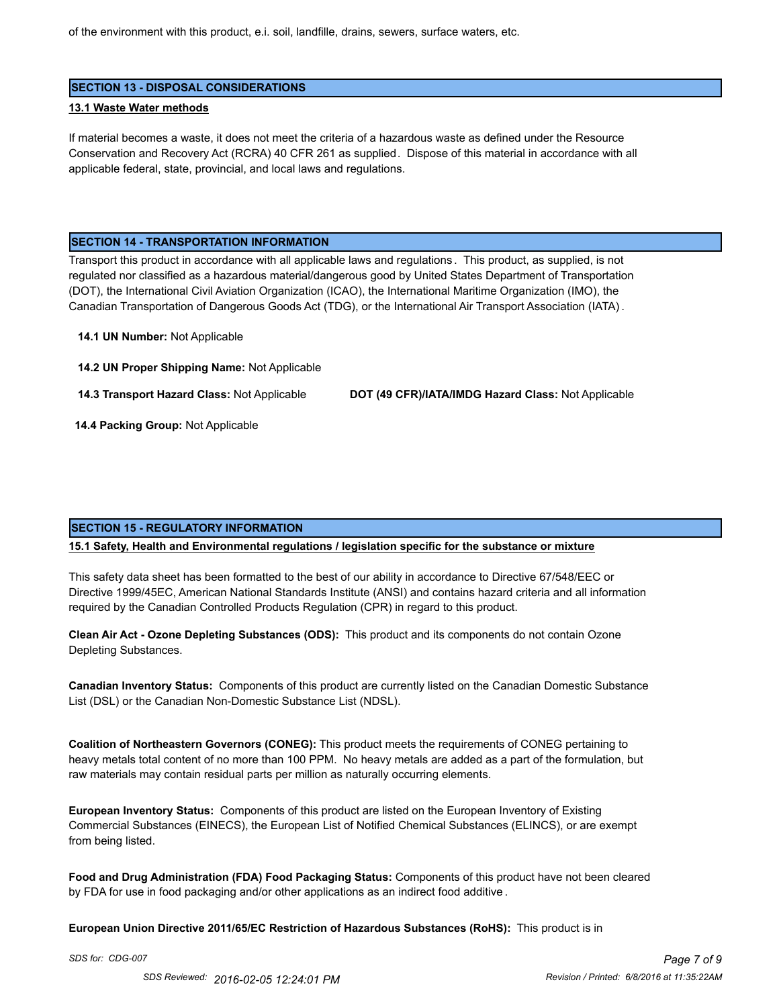of the environment with this product, e.i. soil, landfille, drains, sewers, surface waters, etc.

#### **SECTION 13 - DISPOSAL CONSIDERATIONS**

#### **13.1 Waste Water methods**

If material becomes a waste, it does not meet the criteria of a hazardous waste as defined under the Resource Conservation and Recovery Act (RCRA) 40 CFR 261 as supplied. Dispose of this material in accordance with all applicable federal, state, provincial, and local laws and regulations.

#### **SECTION 14 - TRANSPORTATION INFORMATION**

Transport this product in accordance with all applicable laws and regulations . This product, as supplied, is not regulated nor classified as a hazardous material/dangerous good by United States Department of Transportation (DOT), the International Civil Aviation Organization (ICAO), the International Maritime Organization (IMO), the Canadian Transportation of Dangerous Goods Act (TDG), or the International Air Transport Association (IATA) .

**14.1 UN Number:** Not Applicable

**14.2 UN Proper Shipping Name:** Not Applicable

**14.3 Transport Hazard Class:** Not Applicable **DOT (49 CFR)/IATA/IMDG Hazard Class:** Not Applicable

 **14.4 Packing Group:** Not Applicable

#### **SECTION 15 - REGULATORY INFORMATION**

#### **15.1 Safety, Health and Environmental regulations / legislation specific for the substance or mixture**

This safety data sheet has been formatted to the best of our ability in accordance to Directive 67/548/EEC or Directive 1999/45EC, American National Standards Institute (ANSI) and contains hazard criteria and all information required by the Canadian Controlled Products Regulation (CPR) in regard to this product.

**Clean Air Act - Ozone Depleting Substances (ODS):** This product and its components do not contain Ozone Depleting Substances.

**Canadian Inventory Status:** Components of this product are currently listed on the Canadian Domestic Substance List (DSL) or the Canadian Non-Domestic Substance List (NDSL).

**Coalition of Northeastern Governors (CONEG):** This product meets the requirements of CONEG pertaining to heavy metals total content of no more than 100 PPM. No heavy metals are added as a part of the formulation, but raw materials may contain residual parts per million as naturally occurring elements.

**European Inventory Status:** Components of this product are listed on the European Inventory of Existing Commercial Substances (EINECS), the European List of Notified Chemical Substances (ELINCS), or are exempt from being listed.

**Food and Drug Administration (FDA) Food Packaging Status:** Components of this product have not been cleared by FDA for use in food packaging and/or other applications as an indirect food additive .

**European Union Directive 2011/65/EC Restriction of Hazardous Substances (RoHS):** This product is in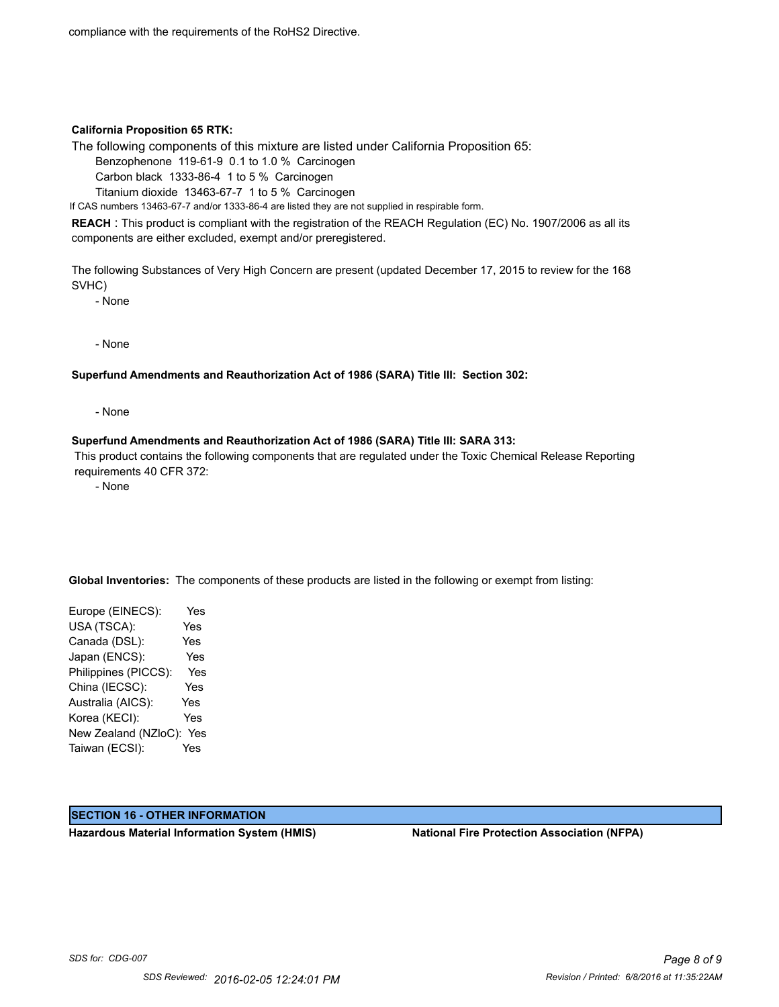compliance with the requirements of the RoHS2 Directive.

#### **California Proposition 65 RTK:**

The following components of this mixture are listed under California Proposition 65:

Benzophenone 119-61-9 0.1 to 1.0 % Carcinogen

Carbon black 1333-86-4 1 to 5 % Carcinogen

Titanium dioxide 13463-67-7 1 to 5 % Carcinogen

If CAS numbers 13463-67-7 and/or 1333-86-4 are listed they are not supplied in respirable form.

**REACH** : This product is compliant with the registration of the REACH Regulation (EC) No. 1907/2006 as all its components are either excluded, exempt and/or preregistered.

The following Substances of Very High Concern are present (updated December 17, 2015 to review for the 168 SVHC)

- None

- None

#### **Superfund Amendments and Reauthorization Act of 1986 (SARA) Title III: Section 302:**

- None

#### **Superfund Amendments and Reauthorization Act of 1986 (SARA) Title III: SARA 313:**

 This product contains the following components that are regulated under the Toxic Chemical Release Reporting requirements 40 CFR 372:

- None

**Global Inventories:** The components of these products are listed in the following or exempt from listing:

Europe (EINECS): Yes USA (TSCA): Yes Canada (DSL): Yes Japan (ENCS): Yes Philippines (PICCS): Yes China (IECSC): Yes Australia (AICS): Yes Korea (KECI): Yes New Zealand (NZloC): Yes Taiwan (ECSI): Yes

#### **SECTION 16 - OTHER INFORMATION**

**Hazardous Material Information System (HMIS) National Fire Protection Association (NFPA)**